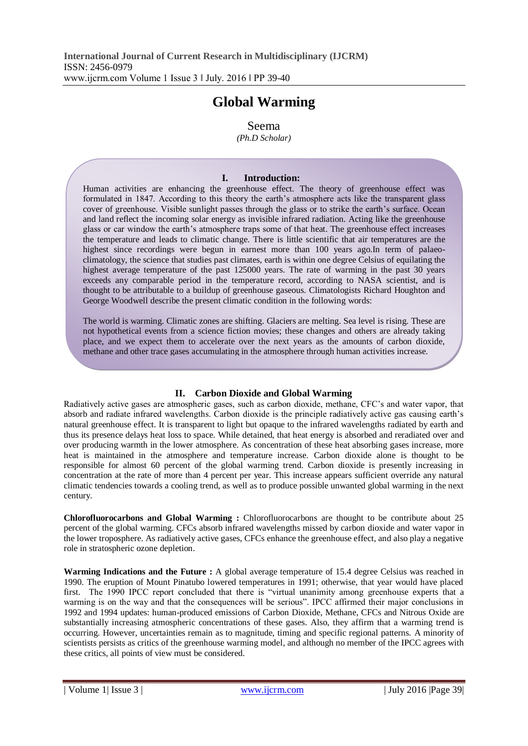## **Global Warming**

Seema

*(Ph.D Scholar)*

## **I. Introduction:**

Human activities are enhancing the greenhouse effect. The theory of greenhouse effect was formulated in 1847. According to this theory the earth's atmosphere acts like the transparent glass cover of greenhouse. Visible sunlight passes through the glass or to strike the earth's surface. Ocean and land reflect the incoming solar energy as invisible infrared radiation. Acting like the greenhouse glass or car window the earth's atmosphere traps some of that heat. The greenhouse effect increases the temperature and leads to climatic change. There is little scientific that air temperatures are the highest since recordings were begun in earnest more than 100 years ago.In term of palaeoclimatology, the science that studies past climates, earth is within one degree Celsius of equilating the highest average temperature of the past 125000 years. The rate of warming in the past 30 years exceeds any comparable period in the temperature record, according to NASA scientist, and is thought to be attributable to a buildup of greenhouse gaseous. Climatologists Richard Houghton and George Woodwell describe the present climatic condition in the following words:

The world is warming. Climatic zones are shifting. Glaciers are melting. Sea level is rising. These are not hypothetical events from a science fiction movies; these changes and others are already taking place, and we expect them to accelerate over the next years as the amounts of carbon dioxide, methane and other trace gases accumulating in the atmosphere through human activities increase.

## **II. Carbon Dioxide and Global Warming**

Radiatively active gases are atmospheric gases, such as carbon dioxide, methane, CFC's and water vapor, that absorb and radiate infrared wavelengths. Carbon dioxide is the principle radiatively active gas causing earth's natural greenhouse effect. It is transparent to light but opaque to the infrared wavelengths radiated by earth and thus its presence delays heat loss to space. While detained, that heat energy is absorbed and reradiated over and over producing warmth in the lower atmosphere. As concentration of these heat absorbing gases increase, more heat is maintained in the atmosphere and temperature increase. Carbon dioxide alone is thought to be responsible for almost 60 percent of the global warming trend. Carbon dioxide is presently increasing in concentration at the rate of more than 4 percent per year. This increase appears sufficient override any natural climatic tendencies towards a cooling trend, as well as to produce possible unwanted global warming in the next century.

**Chlorofluorocarbons and Global Warming :** Chlorofluorocarbons are thought to be contribute about 25 percent of the global warming. CFCs absorb infrared wavelengths missed by carbon dioxide and water vapor in the lower troposphere. As radiatively active gases, CFCs enhance the greenhouse effect, and also play a negative role in stratospheric ozone depletion.

**Warming Indications and the Future :** A global average temperature of 15.4 degree Celsius was reached in 1990. The eruption of Mount Pinatubo lowered temperatures in 1991; otherwise, that year would have placed first. The 1990 IPCC report concluded that there is "virtual unanimity among greenhouse experts that a warming is on the way and that the consequences will be serious". IPCC affirmed their major conclusions in 1992 and 1994 updates: human-produced emissions of Carbon Dioxide, Methane, CFCs and Nitrous Oxide are substantially increasing atmospheric concentrations of these gases. Also, they affirm that a warming trend is occurring. However, uncertainties remain as to magnitude, timing and specific regional patterns. A minority of scientists persists as critics of the greenhouse warming model, and although no member of the IPCC agrees with these critics, all points of view must be considered.